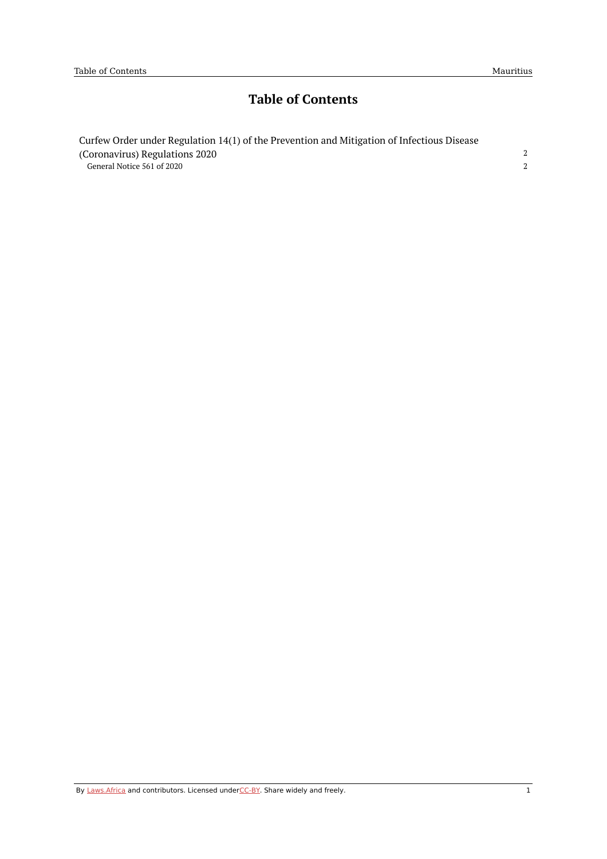# **Table of Contents**

| Curfew Order under Regulation 14(1) of the Prevention and Mitigation of Infectious Disease |  |
|--------------------------------------------------------------------------------------------|--|
| (Coronavirus) Regulations 2020                                                             |  |
| General Notice 561 of 2020                                                                 |  |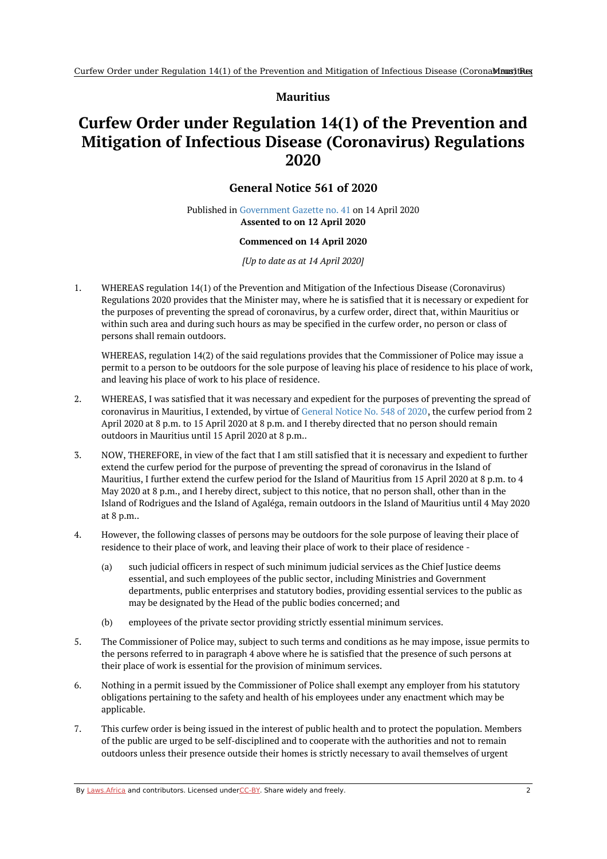## **Mauritius**

## <span id="page-1-1"></span><span id="page-1-0"></span>**Curfew Order under Regulation 14(1) of the Prevention and Mitigation of Infectious Disease (Coronavirus) Regulations 2020**

## **General Notice 561 of 2020**

### Published in [Government](https://commons.laws.africa/akn/mu/act/genn/2020/561/media/publication/mu-act-genn-2020-561-publication-document.pdf) Gazette no. 41 on 14 April 2020 **Assented to on 12 April 2020**

#### **Commenced on 14 April 2020**

*[Up to date as at 14 April 2020]*

1. WHEREAS regulation 14(1) of the Prevention and Mitigation of the Infectious Disease (Coronavirus) Regulations 2020 provides that the Minister may, where he is satisfied that it is necessary or expedient for the purposes of preventing the spread of coronavirus, by a curfew order, direct that, within Mauritius or within such area and during such hours as may be specified in the curfew order, no person or class of persons shall remain outdoors.

WHEREAS, regulation 14(2) of the said regulations provides that the Commissioner of Police may issue a permit to a person to be outdoors for the sole purpose of leaving his place of residence to his place of work, and leaving his place of work to his place of residence.

- 2. WHEREAS, I was satisfied that it was necessary and expedient for the purposes of preventing the spread of coronavirus in Mauritius, I extended, by virtue of [General](https://africanlii.org/akn/mu/act/genn/2020/548) Notice No. 548 of 2020, the curfew period from 2 April 2020 at 8 p.m. to 15 April 2020 at 8 p.m. and I thereby directed that no person should remain outdoors in Mauritius until 15 April 2020 at 8 p.m..
- 3. NOW, THEREFORE, in view of the fact that I am still satisfied that it is necessary and expedient to further extend the curfew period for the purpose of preventing the spread of coronavirus in the Island of Mauritius, I further extend the curfew period for the Island of Mauritius from 15 April 2020 at 8 p.m. to 4 May 2020 at 8 p.m., and I hereby direct, subject to this notice, that no person shall, other than in the Island of Rodrigues and the Island of Agaléga, remain outdoors in the Island of Mauritius until 4 May 2020 at 8 p.m..
- 4. However, the following classes of persons may be outdoors for the sole purpose of leaving their place of residence to their place of work, and leaving their place of work to their place of residence -
	- (a) such judicial officers in respect of such minimum judicial services as the Chief Justice deems essential, and such employees of the public sector, including Ministries and Government departments, public enterprises and statutory bodies, providing essential services to the public as may be designated by the Head of the public bodies concerned; and
	- (b) employees of the private sector providing strictly essential minimum services.
- 5. The Commissioner of Police may, subject to such terms and conditions as he may impose, issue permits to the persons referred to in paragraph 4 above where he is satisfied that the presence of such persons at their place of work is essential for the provision of minimum services.
- 6. Nothing in a permit issued by the Commissioner of Police shall exempt any employer from his statutory obligations pertaining to the safety and health of his employees under any enactment which may be applicable.
- 7. This curfew order is being issued in the interest of public health and to protect the population. Members of the public are urged to be self-disciplined and to cooperate with the authorities and not to remain outdoors unless their presence outside their homes is strictly necessary to avail themselves of urgent

By [Laws.Africa](https://edit.laws.africa/widgets/pdf-attribution) and contributors. Licensed und[erCC-B](https://edit.laws.africa/widgets/pdf-cc-by)Y. Share widely and freely.